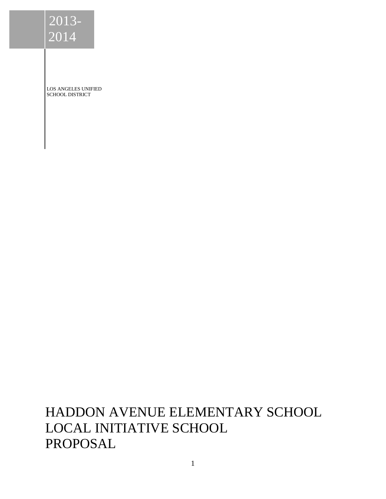LOS ANGELES UNIFIED SCHOOL DISTRICT

HADDON AVENUE ELEMENTARY SCHOOL LOCAL INITIATIVE SCHOOL PROPOSAL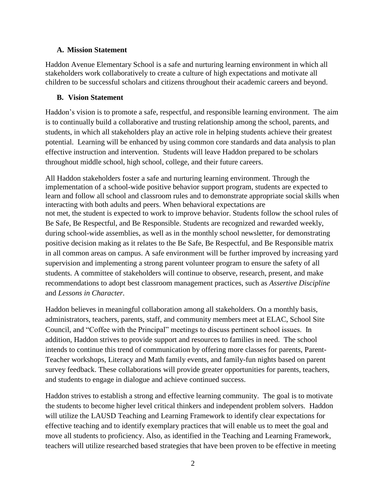### **A. Mission Statement**

Haddon Avenue Elementary School is a safe and nurturing learning environment in which all stakeholders work collaboratively to create a culture of high expectations and motivate all children to be successful scholars and citizens throughout their academic careers and beyond.

### **B. Vision Statement**

Haddon's vision is to promote a safe, respectful, and responsible learning environment. The aim is to continually build a collaborative and trusting relationship among the school, parents, and students, in which all stakeholders play an active role in helping students achieve their greatest potential. Learning will be enhanced by using common core standards and data analysis to plan effective instruction and intervention. Students will leave Haddon prepared to be scholars throughout middle school, high school, college, and their future careers.

All Haddon stakeholders foster a safe and nurturing learning environment. Through the implementation of a school-wide positive behavior support program, students are expected to learn and follow all school and classroom rules and to demonstrate appropriate social skills when interacting with both adults and peers. When behavioral expectations are not met, the student is expected to work to improve behavior. Students follow the school rules of Be Safe, Be Respectful, and Be Responsible. Students are recognized and rewarded weekly, during school-wide assemblies, as well as in the monthly school newsletter, for demonstrating positive decision making as it relates to the Be Safe, Be Respectful, and Be Responsible matrix in all common areas on campus. A safe environment will be further improved by increasing yard supervision and implementing a strong parent volunteer program to ensure the safety of all students. A committee of stakeholders will continue to observe, research, present, and make recommendations to adopt best classroom management practices, such as *Assertive Discipline* and *Lessons in Character.*

Haddon believes in meaningful collaboration among all stakeholders. On a monthly basis, administrators, teachers, parents, staff, and community members meet at ELAC, School Site Council, and "Coffee with the Principal" meetings to discuss pertinent school issues. In addition, Haddon strives to provide support and resources to families in need. The school intends to continue this trend of communication by offering more classes for parents, Parent-Teacher workshops, Literacy and Math family events, and family-fun nights based on parent survey feedback. These collaborations will provide greater opportunities for parents, teachers, and students to engage in dialogue and achieve continued success.

Haddon strives to establish a strong and effective learning community. The goal is to motivate the students to become higher level critical thinkers and independent problem solvers. Haddon will utilize the LAUSD Teaching and Learning Framework to identify clear expectations for effective teaching and to identify exemplary practices that will enable us to meet the goal and move all students to proficiency. Also, as identified in the Teaching and Learning Framework, teachers will utilize researched based strategies that have been proven to be effective in meeting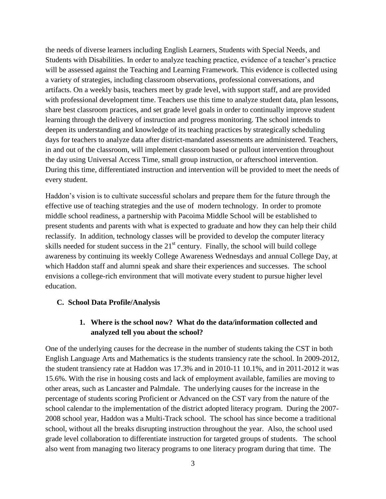the needs of diverse learners including English Learners, Students with Special Needs, and Students with Disabilities. In order to analyze teaching practice, evidence of a teacher's practice will be assessed against the Teaching and Learning Framework. This evidence is collected using a variety of strategies, including classroom observations, professional conversations, and artifacts. On a weekly basis, teachers meet by grade level, with support staff, and are provided with professional development time. Teachers use this time to analyze student data, plan lessons, share best classroom practices, and set grade level goals in order to continually improve student learning through the delivery of instruction and progress monitoring. The school intends to deepen its understanding and knowledge of its teaching practices by strategically scheduling days for teachers to analyze data after district-mandated assessments are administered. Teachers, in and out of the classroom, will implement classroom based or pullout intervention throughout the day using Universal Access Time, small group instruction, or afterschool intervention. During this time, differentiated instruction and intervention will be provided to meet the needs of every student.

Haddon's vision is to cultivate successful scholars and prepare them for the future through the effective use of teaching strategies and the use of modern technology. In order to promote middle school readiness, a partnership with Pacoima Middle School will be established to present students and parents with what is expected to graduate and how they can help their child reclassify. In addition, technology classes will be provided to develop the computer literacy skills needed for student success in the  $21<sup>st</sup>$  century. Finally, the school will build college awareness by continuing its weekly College Awareness Wednesdays and annual College Day, at which Haddon staff and alumni speak and share their experiences and successes. The school envisions a college-rich environment that will motivate every student to pursue higher level education.

#### **C. School Data Profile/Analysis**

## **1. Where is the school now? What do the data/information collected and analyzed tell you about the school?**

One of the underlying causes for the decrease in the number of students taking the CST in both English Language Arts and Mathematics is the students transiency rate the school. In 2009-2012, the student transiency rate at Haddon was 17.3% and in 2010-11 10.1%, and in 2011-2012 it was 15.6%. With the rise in housing costs and lack of employment available, families are moving to other areas, such as Lancaster and Palmdale. The underlying causes for the increase in the percentage of students scoring Proficient or Advanced on the CST vary from the nature of the school calendar to the implementation of the district adopted literacy program. During the 2007- 2008 school year, Haddon was a Multi-Track school. The school has since become a traditional school, without all the breaks disrupting instruction throughout the year. Also, the school used grade level collaboration to differentiate instruction for targeted groups of students. The school also went from managing two literacy programs to one literacy program during that time. The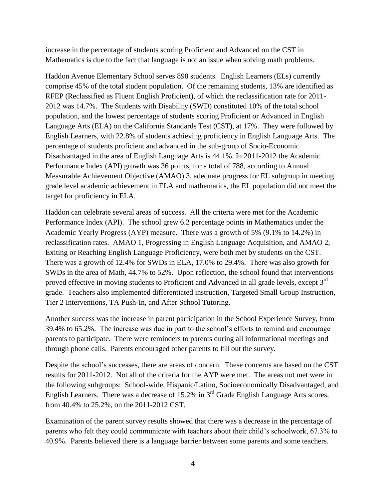increase in the percentage of students scoring Proficient and Advanced on the CST in Mathematics is due to the fact that language is not an issue when solving math problems.

Haddon Avenue Elementary School serves 898 students. English Learners (ELs) currently comprise 45% of the total student population. Of the remaining students, 13% are identified as RFEP (Reclassified as Fluent English Proficient), of which the reclassification rate for 2011- 2012 was 14.7%. The Students with Disability (SWD) constituted 10% of the total school population, and the lowest percentage of students scoring Proficient or Advanced in English Language Arts (ELA) on the California Standards Test (CST), at 17%. They were followed by English Learners, with 22.8% of students achieving proficiency in English Language Arts. The percentage of students proficient and advanced in the sub-group of Socio-Economic Disadvantaged in the area of English Language Arts is 44.1%. In 2011-2012 the Academic Performance Index (API) growth was 36 points, for a total of 788, according to Annual Measurable Achievement Objective (AMAO) 3, adequate progress for EL subgroup in meeting grade level academic achievement in ELA and mathematics, the EL population did not meet the target for proficiency in ELA.

Haddon can celebrate several areas of success. All the criteria were met for the Academic Performance Index (API). The school grew 6.2 percentage points in Mathematics under the Academic Yearly Progress (AYP) measure. There was a growth of 5% (9.1% to 14.2%) in reclassification rates. AMAO 1, Progressing in English Language Acquisition, and AMAO 2, Exiting or Reaching English Language Proficiency, were both met by students on the CST. There was a growth of 12.4% for SWDs in ELA, 17.0% to 29.4%. There was also growth for SWDs in the area of Math, 44.7% to 52%. Upon reflection, the school found that interventions proved effective in moving students to Proficient and Advanced in all grade levels, except 3<sup>rd</sup> grade. Teachers also implemented differentiated instruction, Targeted Small Group Instruction, Tier 2 Interventions, TA Push-In, and After School Tutoring.

Another success was the increase in parent participation in the School Experience Survey, from 39.4% to 65.2%. The increase was due in part to the school's efforts to remind and encourage parents to participate. There were reminders to parents during all informational meetings and through phone calls. Parents encouraged other parents to fill out the survey.

Despite the school's successes, there are areas of concern. These concerns are based on the CST results for 2011-2012. Not all of the criteria for the AYP were met. The areas not met were in the following subgroups: School-wide, Hispanic/Latino, Socioeconomically Disadvantaged, and English Learners. There was a decrease of 15.2% in  $3<sup>rd</sup>$  Grade English Language Arts scores, from 40.4% to 25.2%, on the 2011-2012 CST.

Examination of the parent survey results showed that there was a decrease in the percentage of parents who felt they could communicate with teachers about their child's schoolwork, 67.3% to 40.9%. Parents believed there is a language barrier between some parents and some teachers.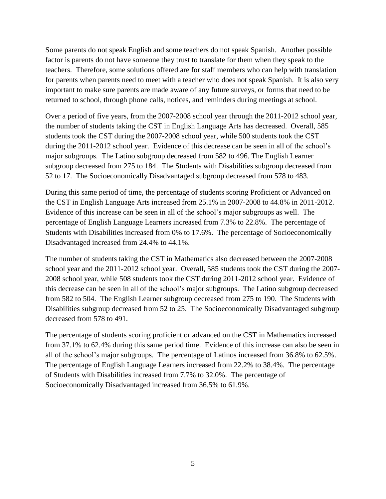Some parents do not speak English and some teachers do not speak Spanish. Another possible factor is parents do not have someone they trust to translate for them when they speak to the teachers. Therefore, some solutions offered are for staff members who can help with translation for parents when parents need to meet with a teacher who does not speak Spanish. It is also very important to make sure parents are made aware of any future surveys, or forms that need to be returned to school, through phone calls, notices, and reminders during meetings at school.

Over a period of five years, from the 2007-2008 school year through the 2011-2012 school year, the number of students taking the CST in English Language Arts has decreased. Overall, 585 students took the CST during the 2007-2008 school year, while 500 students took the CST during the 2011-2012 school year. Evidence of this decrease can be seen in all of the school's major subgroups. The Latino subgroup decreased from 582 to 496. The English Learner subgroup decreased from 275 to 184. The Students with Disabilities subgroup decreased from 52 to 17. The Socioeconomically Disadvantaged subgroup decreased from 578 to 483.

During this same period of time, the percentage of students scoring Proficient or Advanced on the CST in English Language Arts increased from 25.1% in 2007-2008 to 44.8% in 2011-2012. Evidence of this increase can be seen in all of the school's major subgroups as well. The percentage of English Language Learners increased from 7.3% to 22.8%. The percentage of Students with Disabilities increased from 0% to 17.6%. The percentage of Socioeconomically Disadvantaged increased from 24.4% to 44.1%.

The number of students taking the CST in Mathematics also decreased between the 2007-2008 school year and the 2011-2012 school year. Overall, 585 students took the CST during the 2007- 2008 school year, while 508 students took the CST during 2011-2012 school year. Evidence of this decrease can be seen in all of the school's major subgroups. The Latino subgroup decreased from 582 to 504. The English Learner subgroup decreased from 275 to 190. The Students with Disabilities subgroup decreased from 52 to 25. The Socioeconomically Disadvantaged subgroup decreased from 578 to 491.

The percentage of students scoring proficient or advanced on the CST in Mathematics increased from 37.1% to 62.4% during this same period time. Evidence of this increase can also be seen in all of the school's major subgroups. The percentage of Latinos increased from 36.8% to 62.5%. The percentage of English Language Learners increased from 22.2% to 38.4%. The percentage of Students with Disabilities increased from 7.7% to 32.0%. The percentage of Socioeconomically Disadvantaged increased from 36.5% to 61.9%.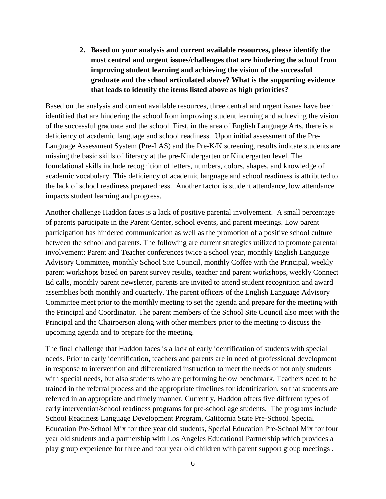**2. Based on your analysis and current available resources, please identify the most central and urgent issues/challenges that are hindering the school from improving student learning and achieving the vision of the successful graduate and the school articulated above? What is the supporting evidence that leads to identify the items listed above as high priorities?**

Based on the analysis and current available resources, three central and urgent issues have been identified that are hindering the school from improving student learning and achieving the vision of the successful graduate and the school. First, in the area of English Language Arts, there is a deficiency of academic language and school readiness. Upon initial assessment of the Pre-Language Assessment System (Pre-LAS) and the Pre-K/K screening, results indicate students are missing the basic skills of literacy at the pre-Kindergarten or Kindergarten level. The foundational skills include recognition of letters, numbers, colors, shapes, and knowledge of academic vocabulary. This deficiency of academic language and school readiness is attributed to the lack of school readiness preparedness. Another factor is student attendance, low attendance impacts student learning and progress.

Another challenge Haddon faces is a lack of positive parental involvement. A small percentage of parents participate in the Parent Center, school events, and parent meetings. Low parent participation has hindered communication as well as the promotion of a positive school culture between the school and parents. The following are current strategies utilized to promote parental involvement: Parent and Teacher conferences twice a school year, monthly English Language Advisory Committee, monthly School Site Council, monthly Coffee with the Principal, weekly parent workshops based on parent survey results, teacher and parent workshops, weekly Connect Ed calls, monthly parent newsletter, parents are invited to attend student recognition and award assemblies both monthly and quarterly. The parent officers of the English Language Advisory Committee meet prior to the monthly meeting to set the agenda and prepare for the meeting with the Principal and Coordinator. The parent members of the School Site Council also meet with the Principal and the Chairperson along with other members prior to the meeting to discuss the upcoming agenda and to prepare for the meeting.

The final challenge that Haddon faces is a lack of early identification of students with special needs. Prior to early identification, teachers and parents are in need of professional development in response to intervention and differentiated instruction to meet the needs of not only students with special needs, but also students who are performing below benchmark. Teachers need to be trained in the referral process and the appropriate timelines for identification, so that students are referred in an appropriate and timely manner. Currently, Haddon offers five different types of early intervention/school readiness programs for pre-school age students. The programs include School Readiness Language Development Program, California State Pre-School, Special Education Pre-School Mix for thee year old students, Special Education Pre-School Mix for four year old students and a partnership with Los Angeles Educational Partnership which provides a play group experience for three and four year old children with parent support group meetings .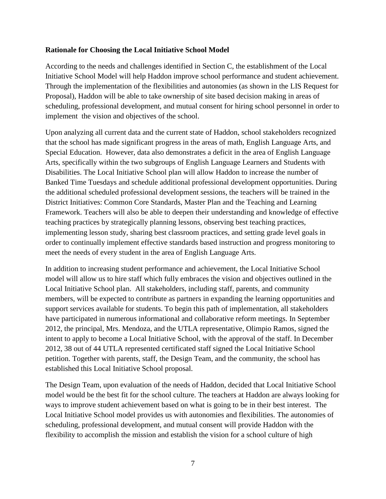#### **Rationale for Choosing the Local Initiative School Model**

According to the needs and challenges identified in Section C, the establishment of the Local Initiative School Model will help Haddon improve school performance and student achievement. Through the implementation of the flexibilities and autonomies (as shown in the LIS Request for Proposal), Haddon will be able to take ownership of site based decision making in areas of scheduling, professional development, and mutual consent for hiring school personnel in order to implement the vision and objectives of the school.

Upon analyzing all current data and the current state of Haddon, school stakeholders recognized that the school has made significant progress in the areas of math, English Language Arts, and Special Education. However, data also demonstrates a deficit in the area of English Language Arts, specifically within the two subgroups of English Language Learners and Students with Disabilities. The Local Initiative School plan will allow Haddon to increase the number of Banked Time Tuesdays and schedule additional professional development opportunities. During the additional scheduled professional development sessions, the teachers will be trained in the District Initiatives: Common Core Standards, Master Plan and the Teaching and Learning Framework. Teachers will also be able to deepen their understanding and knowledge of effective teaching practices by strategically planning lessons, observing best teaching practices, implementing lesson study, sharing best classroom practices, and setting grade level goals in order to continually implement effective standards based instruction and progress monitoring to meet the needs of every student in the area of English Language Arts.

In addition to increasing student performance and achievement, the Local Initiative School model will allow us to hire staff which fully embraces the vision and objectives outlined in the Local Initiative School plan. All stakeholders, including staff, parents, and community members, will be expected to contribute as partners in expanding the learning opportunities and support services available for students. To begin this path of implementation, all stakeholders have participated in numerous informational and collaborative reform meetings. In September 2012, the principal, Mrs. Mendoza, and the UTLA representative, Olimpio Ramos, signed the intent to apply to become a Local Initiative School, with the approval of the staff. In December 2012, 38 out of 44 UTLA represented certificated staff signed the Local Initiative School petition. Together with parents, staff, the Design Team, and the community, the school has established this Local Initiative School proposal.

The Design Team, upon evaluation of the needs of Haddon, decided that Local Initiative School model would be the best fit for the school culture. The teachers at Haddon are always looking for ways to improve student achievement based on what is going to be in their best interest. The Local Initiative School model provides us with autonomies and flexibilities. The autonomies of scheduling, professional development, and mutual consent will provide Haddon with the flexibility to accomplish the mission and establish the vision for a school culture of high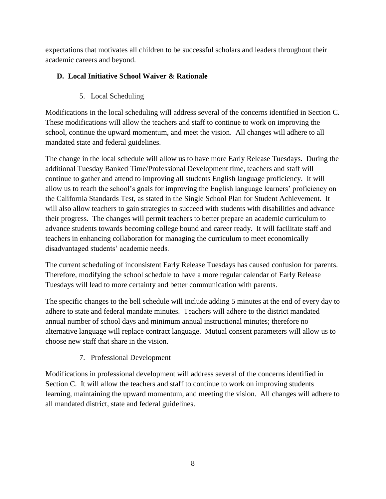expectations that motivates all children to be successful scholars and leaders throughout their academic careers and beyond.

# **D. Local Initiative School Waiver & Rationale**

# 5. Local Scheduling

Modifications in the local scheduling will address several of the concerns identified in Section C. These modifications will allow the teachers and staff to continue to work on improving the school, continue the upward momentum, and meet the vision. All changes will adhere to all mandated state and federal guidelines.

The change in the local schedule will allow us to have more Early Release Tuesdays. During the additional Tuesday Banked Time/Professional Development time, teachers and staff will continue to gather and attend to improving all students English language proficiency. It will allow us to reach the school's goals for improving the English language learners' proficiency on the California Standards Test, as stated in the Single School Plan for Student Achievement. It will also allow teachers to gain strategies to succeed with students with disabilities and advance their progress. The changes will permit teachers to better prepare an academic curriculum to advance students towards becoming college bound and career ready. It will facilitate staff and teachers in enhancing collaboration for managing the curriculum to meet economically disadvantaged students' academic needs.

The current scheduling of inconsistent Early Release Tuesdays has caused confusion for parents. Therefore, modifying the school schedule to have a more regular calendar of Early Release Tuesdays will lead to more certainty and better communication with parents.

The specific changes to the bell schedule will include adding 5 minutes at the end of every day to adhere to state and federal mandate minutes. Teachers will adhere to the district mandated annual number of school days and minimum annual instructional minutes; therefore no alternative language will replace contract language. Mutual consent parameters will allow us to choose new staff that share in the vision.

## 7. Professional Development

Modifications in professional development will address several of the concerns identified in Section C. It will allow the teachers and staff to continue to work on improving students learning, maintaining the upward momentum, and meeting the vision. All changes will adhere to all mandated district, state and federal guidelines.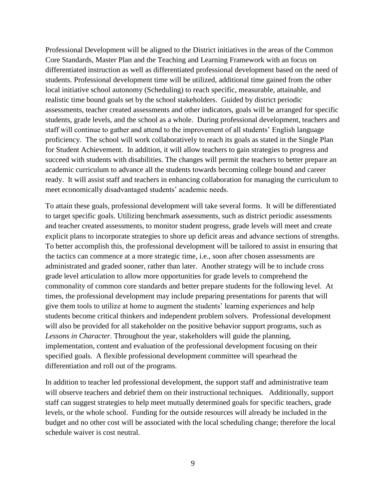Professional Development will be aligned to the District initiatives in the areas of the Common Core Standards, Master Plan and the Teaching and Learning Framework with an focus on differentiated instruction as well as differentiated professional development based on the need of students. Professional development time will be utilized, additional time gained from the other local initiative school autonomy (Scheduling) to reach specific, measurable, attainable, and realistic time bound goals set by the school stakeholders. Guided by district periodic assessments, teacher created assessments and other indicators, goals will be arranged for specific students, grade levels, and the school as a whole. During professional development, teachers and staff will continue to gather and attend to the improvement of all students' English language proficiency. The school will work collaboratively to reach its goals as stated in the Single Plan for Student Achievement. In addition, it will allow teachers to gain strategies to progress and succeed with students with disabilities. The changes will permit the teachers to better prepare an academic curriculum to advance all the students towards becoming college bound and career ready. It will assist staff and teachers in enhancing collaboration for managing the curriculum to meet economically disadvantaged students' academic needs.

To attain these goals, professional development will take several forms. It will be differentiated to target specific goals. Utilizing benchmark assessments, such as district periodic assessments and teacher created assessments, to monitor student progress, grade levels will meet and create explicit plans to incorporate strategies to shore up deficit areas and advance sections of strengths. To better accomplish this, the professional development will be tailored to assist in ensuring that the tactics can commence at a more strategic time, i.e., soon after chosen assessments are administrated and graded sooner, rather than later. Another strategy will be to include cross grade level articulation to allow more opportunities for grade levels to comprehend the commonality of common core standards and better prepare students for the following level. At times, the professional development may include preparing presentations for parents that will give them tools to utilize at home to augment the students' learning experiences and help students become critical thinkers and independent problem solvers. Professional development will also be provided for all stakeholder on the positive behavior support programs, such as *Lessons in Character.* Throughout the year, stakeholders will guide the planning, implementation, content and evaluation of the professional development focusing on their specified goals. A flexible professional development committee will spearhead the differentiation and roll out of the programs.

In addition to teacher led professional development, the support staff and administrative team will observe teachers and debrief them on their instructional techniques. Additionally, support staff can suggest strategies to help meet mutually determined goals for specific teachers, grade levels, or the whole school. Funding for the outside resources will already be included in the budget and no other cost will be associated with the local scheduling change; therefore the local schedule waiver is cost neutral.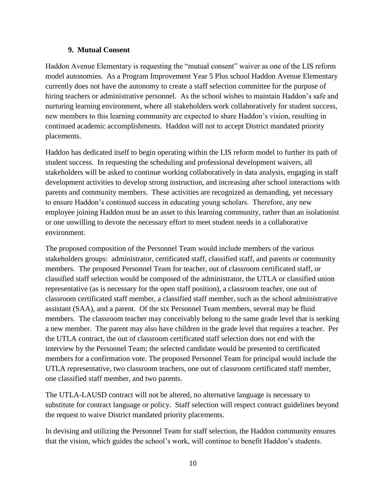#### **9. Mutual Consent**

Haddon Avenue Elementary is requesting the "mutual consent" waiver as one of the LIS reform model autonomies. As a Program Improvement Year 5 Plus school Haddon Avenue Elementary currently does not have the autonomy to create a staff selection committee for the purpose of hiring teachers or administrative personnel. As the school wishes to maintain Haddon's safe and nurturing learning environment, where all stakeholders work collaboratively for student success, new members to this learning community are expected to share Haddon's vision, resulting in continued academic accomplishments. Haddon will not to accept District mandated priority placements.

Haddon has dedicated itself to begin operating within the LIS reform model to further its path of student success. In requesting the scheduling and professional development waivers, all stakeholders will be asked to continue working collaboratively in data analysis, engaging in staff development activities to develop strong instruction, and increasing after school interactions with parents and community members. These activities are recognized as demanding, yet necessary to ensure Haddon's continued success in educating young scholars. Therefore, any new employee joining Haddon must be an asset to this learning community, rather than an isolationist or one unwilling to devote the necessary effort to meet student needs in a collaborative environment.

The proposed composition of the Personnel Team would include members of the various stakeholders groups: administrator, certificated staff, classified staff, and parents or community members. The proposed Personnel Team for teacher, out of classroom certificated staff, or classified staff selection would be composed of the administrator, the UTLA or classified union representative (as is necessary for the open staff position), a classroom teacher, one out of classroom certificated staff member, a classified staff member, such as the school administrative assistant (SAA), and a parent. Of the six Personnel Team members, several may be fluid members. The classroom teacher may conceivably belong to the same grade level that is seeking a new member. The parent may also have children in the grade level that requires a teacher. Per the UTLA contract, the out of classroom certificated staff selection does not end with the interview by the Personnel Team; the selected candidate would be presented to certificated members for a confirmation vote. The proposed Personnel Team for principal would include the UTLA representative, two classroom teachers, one out of classroom certificated staff member, one classified staff member, and two parents.

The UTLA-LAUSD contract will not be altered, no alternative language is necessary to substitute for contract language or policy. Staff selection will respect contract guidelines beyond the request to waive District mandated priority placements.

In devising and utilizing the Personnel Team for staff selection, the Haddon community ensures that the vision, which guides the school's work, will continue to benefit Haddon's students.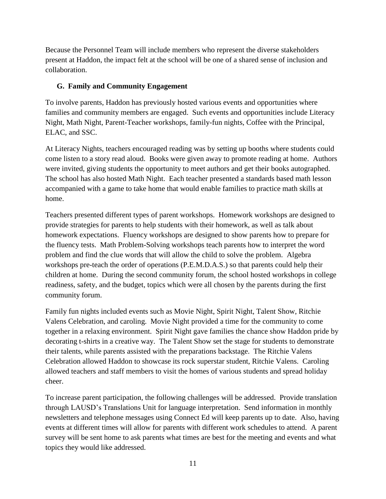Because the Personnel Team will include members who represent the diverse stakeholders present at Haddon, the impact felt at the school will be one of a shared sense of inclusion and collaboration.

### **G. Family and Community Engagement**

To involve parents, Haddon has previously hosted various events and opportunities where families and community members are engaged. Such events and opportunities include Literacy Night, Math Night, Parent-Teacher workshops, family-fun nights, Coffee with the Principal, ELAC, and SSC.

At Literacy Nights, teachers encouraged reading was by setting up booths where students could come listen to a story read aloud. Books were given away to promote reading at home. Authors were invited, giving students the opportunity to meet authors and get their books autographed. The school has also hosted Math Night. Each teacher presented a standards based math lesson accompanied with a game to take home that would enable families to practice math skills at home.

Teachers presented different types of parent workshops. Homework workshops are designed to provide strategies for parents to help students with their homework, as well as talk about homework expectations. Fluency workshops are designed to show parents how to prepare for the fluency tests. Math Problem-Solving workshops teach parents how to interpret the word problem and find the clue words that will allow the child to solve the problem. Algebra workshops pre-teach the order of operations (P.E.M.D.A.S.) so that parents could help their children at home. During the second community forum, the school hosted workshops in college readiness, safety, and the budget, topics which were all chosen by the parents during the first community forum.

Family fun nights included events such as Movie Night, Spirit Night, Talent Show, Ritchie Valens Celebration, and caroling. Movie Night provided a time for the community to come together in a relaxing environment. Spirit Night gave families the chance show Haddon pride by decorating t-shirts in a creative way. The Talent Show set the stage for students to demonstrate their talents, while parents assisted with the preparations backstage. The Ritchie Valens Celebration allowed Haddon to showcase its rock superstar student, Ritchie Valens. Caroling allowed teachers and staff members to visit the homes of various students and spread holiday cheer.

To increase parent participation, the following challenges will be addressed. Provide translation through LAUSD's Translations Unit for language interpretation. Send information in monthly newsletters and telephone messages using Connect Ed will keep parents up to date. Also, having events at different times will allow for parents with different work schedules to attend. A parent survey will be sent home to ask parents what times are best for the meeting and events and what topics they would like addressed.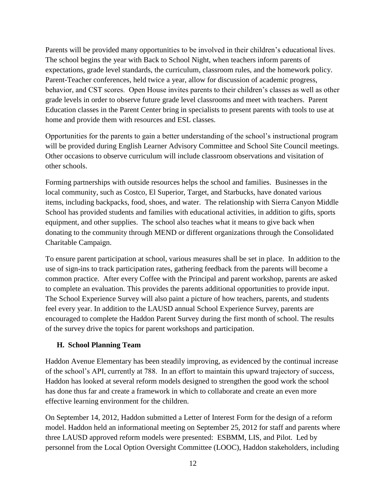Parents will be provided many opportunities to be involved in their children's educational lives. The school begins the year with Back to School Night, when teachers inform parents of expectations, grade level standards, the curriculum, classroom rules, and the homework policy. Parent-Teacher conferences, held twice a year, allow for discussion of academic progress, behavior, and CST scores. Open House invites parents to their children's classes as well as other grade levels in order to observe future grade level classrooms and meet with teachers. Parent Education classes in the Parent Center bring in specialists to present parents with tools to use at home and provide them with resources and ESL classes.

Opportunities for the parents to gain a better understanding of the school's instructional program will be provided during English Learner Advisory Committee and School Site Council meetings. Other occasions to observe curriculum will include classroom observations and visitation of other schools.

Forming partnerships with outside resources helps the school and families. Businesses in the local community, such as Costco, El Superior, Target, and Starbucks, have donated various items, including backpacks, food, shoes, and water. The relationship with Sierra Canyon Middle School has provided students and families with educational activities, in addition to gifts, sports equipment, and other supplies. The school also teaches what it means to give back when donating to the community through MEND or different organizations through the Consolidated Charitable Campaign.

To ensure parent participation at school, various measures shall be set in place. In addition to the use of sign-ins to track participation rates, gathering feedback from the parents will become a common practice. After every Coffee with the Principal and parent workshop, parents are asked to complete an evaluation. This provides the parents additional opportunities to provide input. The School Experience Survey will also paint a picture of how teachers, parents, and students feel every year. In addition to the LAUSD annual School Experience Survey, parents are encouraged to complete the Haddon Parent Survey during the first month of school. The results of the survey drive the topics for parent workshops and participation.

### **H. School Planning Team**

Haddon Avenue Elementary has been steadily improving, as evidenced by the continual increase of the school's API, currently at 788. In an effort to maintain this upward trajectory of success, Haddon has looked at several reform models designed to strengthen the good work the school has done thus far and create a framework in which to collaborate and create an even more effective learning environment for the children.

On September 14, 2012, Haddon submitted a Letter of Interest Form for the design of a reform model. Haddon held an informational meeting on September 25, 2012 for staff and parents where three LAUSD approved reform models were presented: ESBMM, LIS, and Pilot. Led by personnel from the Local Option Oversight Committee (LOOC), Haddon stakeholders, including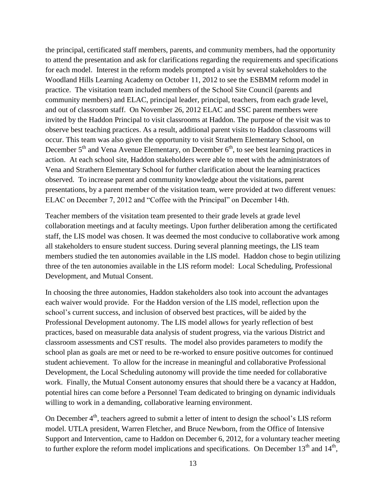the principal, certificated staff members, parents, and community members, had the opportunity to attend the presentation and ask for clarifications regarding the requirements and specifications for each model. Interest in the reform models prompted a visit by several stakeholders to the Woodland Hills Learning Academy on October 11, 2012 to see the ESBMM reform model in practice. The visitation team included members of the School Site Council (parents and community members) and ELAC, principal leader, principal, teachers, from each grade level, and out of classroom staff. On November 26, 2012 ELAC and SSC parent members were invited by the Haddon Principal to visit classrooms at Haddon. The purpose of the visit was to observe best teaching practices. As a result, additional parent visits to Haddon classrooms will occur. This team was also given the opportunity to visit Strathern Elementary School, on December  $5<sup>th</sup>$  and Vena Avenue Elementary, on December  $6<sup>th</sup>$ , to see best learning practices in action. At each school site, Haddon stakeholders were able to meet with the administrators of Vena and Strathern Elementary School for further clarification about the learning practices observed. To increase parent and community knowledge about the visitations, parent presentations, by a parent member of the visitation team, were provided at two different venues: ELAC on December 7, 2012 and "Coffee with the Principal" on December 14th.

Teacher members of the visitation team presented to their grade levels at grade level collaboration meetings and at faculty meetings. Upon further deliberation among the certificated staff, the LIS model was chosen. It was deemed the most conducive to collaborative work among all stakeholders to ensure student success. During several planning meetings, the LIS team members studied the ten autonomies available in the LIS model. Haddon chose to begin utilizing three of the ten autonomies available in the LIS reform model: Local Scheduling, Professional Development, and Mutual Consent.

In choosing the three autonomies, Haddon stakeholders also took into account the advantages each waiver would provide. For the Haddon version of the LIS model, reflection upon the school's current success, and inclusion of observed best practices, will be aided by the Professional Development autonomy. The LIS model allows for yearly reflection of best practices, based on measurable data analysis of student progress, via the various District and classroom assessments and CST results. The model also provides parameters to modify the school plan as goals are met or need to be re-worked to ensure positive outcomes for continued student achievement. To allow for the increase in meaningful and collaborative Professional Development, the Local Scheduling autonomy will provide the time needed for collaborative work. Finally, the Mutual Consent autonomy ensures that should there be a vacancy at Haddon, potential hires can come before a Personnel Team dedicated to bringing on dynamic individuals willing to work in a demanding, collaborative learning environment.

On December  $4<sup>th</sup>$ , teachers agreed to submit a letter of intent to design the school's LIS reform model. UTLA president, Warren Fletcher, and Bruce Newborn, from the Office of Intensive Support and Intervention, came to Haddon on December 6, 2012, for a voluntary teacher meeting to further explore the reform model implications and specifications. On December  $13<sup>th</sup>$  and  $14<sup>th</sup>$ ,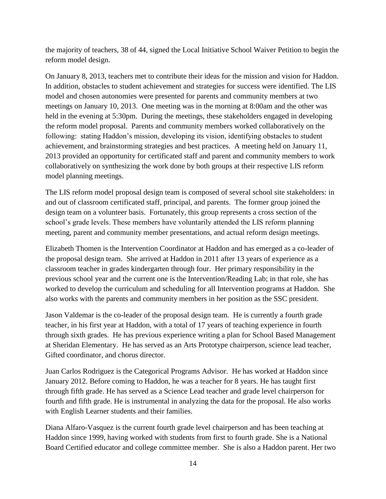the majority of teachers, 38 of 44, signed the Local Initiative School Waiver Petition to begin the reform model design.

On January 8, 2013, teachers met to contribute their ideas for the mission and vision for Haddon. In addition, obstacles to student achievement and strategies for success were identified. The LIS model and chosen autonomies were presented for parents and community members at two meetings on January 10, 2013. One meeting was in the morning at 8:00am and the other was held in the evening at 5:30pm. During the meetings, these stakeholders engaged in developing the reform model proposal. Parents and community members worked collaboratively on the following: stating Haddon's mission, developing its vision, identifying obstacles to student achievement, and brainstorming strategies and best practices. A meeting held on January 11, 2013 provided an opportunity for certificated staff and parent and community members to work collaboratively on synthesizing the work done by both groups at their respective LIS reform model planning meetings.

The LIS reform model proposal design team is composed of several school site stakeholders: in and out of classroom certificated staff, principal, and parents. The former group joined the design team on a volunteer basis. Fortunately, this group represents a cross section of the school's grade levels. These members have voluntarily attended the LIS reform planning meeting, parent and community member presentations, and actual reform design meetings.

Elizabeth Thomen is the Intervention Coordinator at Haddon and has emerged as a co-leader of the proposal design team. She arrived at Haddon in 2011 after 13 years of experience as a classroom teacher in grades kindergarten through four. Her primary responsibility in the previous school year and the current one is the Intervention/Reading Lab; in that role, she has worked to develop the curriculum and scheduling for all Intervention programs at Haddon. She also works with the parents and community members in her position as the SSC president.

Jason Valdemar is the co-leader of the proposal design team. He is currently a fourth grade teacher, in his first year at Haddon, with a total of 17 years of teaching experience in fourth through sixth grades. He has previous experience writing a plan for School Based Management at Sheridan Elementary. He has served as an Arts Prototype chairperson, science lead teacher, Gifted coordinator, and chorus director.

Juan Carlos Rodriguez is the Categorical Programs Advisor. He has worked at Haddon since January 2012. Before coming to Haddon, he was a teacher for 8 years. He has taught first through fifth grade. He has served as a Science Lead teacher and grade level chairperson for fourth and fifth grade. He is instrumental in analyzing the data for the proposal. He also works with English Learner students and their families.

Diana Alfaro-Vasquez is the current fourth grade level chairperson and has been teaching at Haddon since 1999, having worked with students from first to fourth grade. She is a National Board Certified educator and college committee member. She is also a Haddon parent. Her two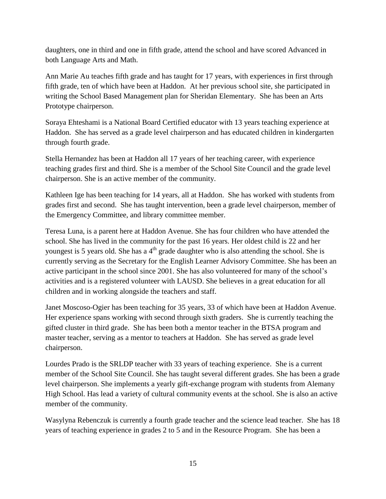daughters, one in third and one in fifth grade, attend the school and have scored Advanced in both Language Arts and Math.

Ann Marie Au teaches fifth grade and has taught for 17 years, with experiences in first through fifth grade, ten of which have been at Haddon. At her previous school site, she participated in writing the School Based Management plan for Sheridan Elementary. She has been an Arts Prototype chairperson.

Soraya Ehteshami is a National Board Certified educator with 13 years teaching experience at Haddon. She has served as a grade level chairperson and has educated children in kindergarten through fourth grade.

Stella Hernandez has been at Haddon all 17 years of her teaching career, with experience teaching grades first and third. She is a member of the School Site Council and the grade level chairperson. She is an active member of the community.

Kathleen Ige has been teaching for 14 years, all at Haddon. She has worked with students from grades first and second. She has taught intervention, been a grade level chairperson, member of the Emergency Committee, and library committee member.

Teresa Luna, is a parent here at Haddon Avenue. She has four children who have attended the school. She has lived in the community for the past 16 years. Her oldest child is 22 and her youngest is 5 years old. She has a  $4<sup>th</sup>$  grade daughter who is also attending the school. She is currently serving as the Secretary for the English Learner Advisory Committee. She has been an active participant in the school since 2001. She has also volunteered for many of the school's activities and is a registered volunteer with LAUSD. She believes in a great education for all children and in working alongside the teachers and staff.

Janet Moscoso-Ogier has been teaching for 35 years, 33 of which have been at Haddon Avenue. Her experience spans working with second through sixth graders. She is currently teaching the gifted cluster in third grade. She has been both a mentor teacher in the BTSA program and master teacher, serving as a mentor to teachers at Haddon. She has served as grade level chairperson.

Lourdes Prado is the SRLDP teacher with 33 years of teaching experience. She is a current member of the School Site Council. She has taught several different grades. She has been a grade level chairperson. She implements a yearly gift-exchange program with students from Alemany High School. Has lead a variety of cultural community events at the school. She is also an active member of the community.

Wasylyna Rebenczuk is currently a fourth grade teacher and the science lead teacher. She has 18 years of teaching experience in grades 2 to 5 and in the Resource Program. She has been a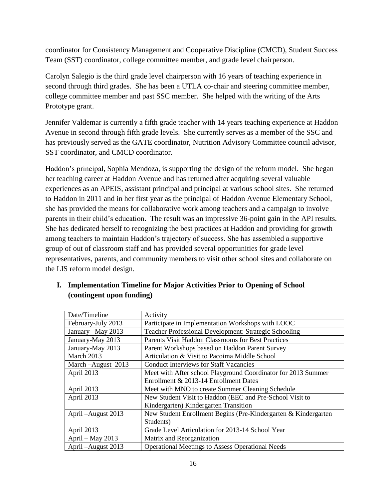coordinator for Consistency Management and Cooperative Discipline (CMCD), Student Success Team (SST) coordinator, college committee member, and grade level chairperson.

Carolyn Salegio is the third grade level chairperson with 16 years of teaching experience in second through third grades. She has been a UTLA co-chair and steering committee member, college committee member and past SSC member. She helped with the writing of the Arts Prototype grant.

Jennifer Valdemar is currently a fifth grade teacher with 14 years teaching experience at Haddon Avenue in second through fifth grade levels. She currently serves as a member of the SSC and has previously served as the GATE coordinator, Nutrition Advisory Committee council advisor, SST coordinator, and CMCD coordinator.

Haddon's principal, Sophia Mendoza, is supporting the design of the reform model. She began her teaching career at Haddon Avenue and has returned after acquiring several valuable experiences as an APEIS, assistant principal and principal at various school sites. She returned to Haddon in 2011 and in her first year as the principal of Haddon Avenue Elementary School, she has provided the means for collaborative work among teachers and a campaign to involve parents in their child's education. The result was an impressive 36-point gain in the API results. She has dedicated herself to recognizing the best practices at Haddon and providing for growth among teachers to maintain Haddon's trajectory of success. She has assembled a supportive group of out of classroom staff and has provided several opportunities for grade level representatives, parents, and community members to visit other school sites and collaborate on the LIS reform model design.

| Date/Timeline       | Activity                                                       |
|---------------------|----------------------------------------------------------------|
| February-July 2013  | Participate in Implementation Workshops with LOOC              |
| January - May 2013  | <b>Teacher Professional Development: Strategic Schooling</b>   |
| January-May 2013    | Parents Visit Haddon Classrooms for Best Practices             |
| January-May 2013    | Parent Workshops based on Haddon Parent Survey                 |
| March 2013          | Articulation & Visit to Pacoima Middle School                  |
| March-August 2013   | <b>Conduct Interviews for Staff Vacancies</b>                  |
| April 2013          | Meet with After school Playground Coordinator for 2013 Summer  |
|                     | Enrollment & 2013-14 Enrollment Dates                          |
| April 2013          | Meet with MNO to create Summer Cleaning Schedule               |
| April 2013          | New Student Visit to Haddon (EEC and Pre-School Visit to       |
|                     | Kindergarten) Kindergarten Transition                          |
| April – August 2013 | New Student Enrollment Begins (Pre-Kindergarten & Kindergarten |
|                     | Students)                                                      |
| April 2013          | Grade Level Articulation for 2013-14 School Year               |
| April – May $2013$  | Matrix and Reorganization                                      |
| April - August 2013 | <b>Operational Meetings to Assess Operational Needs</b>        |

| I. Implementation Timeline for Major Activities Prior to Opening of School |
|----------------------------------------------------------------------------|
| (contingent upon funding)                                                  |